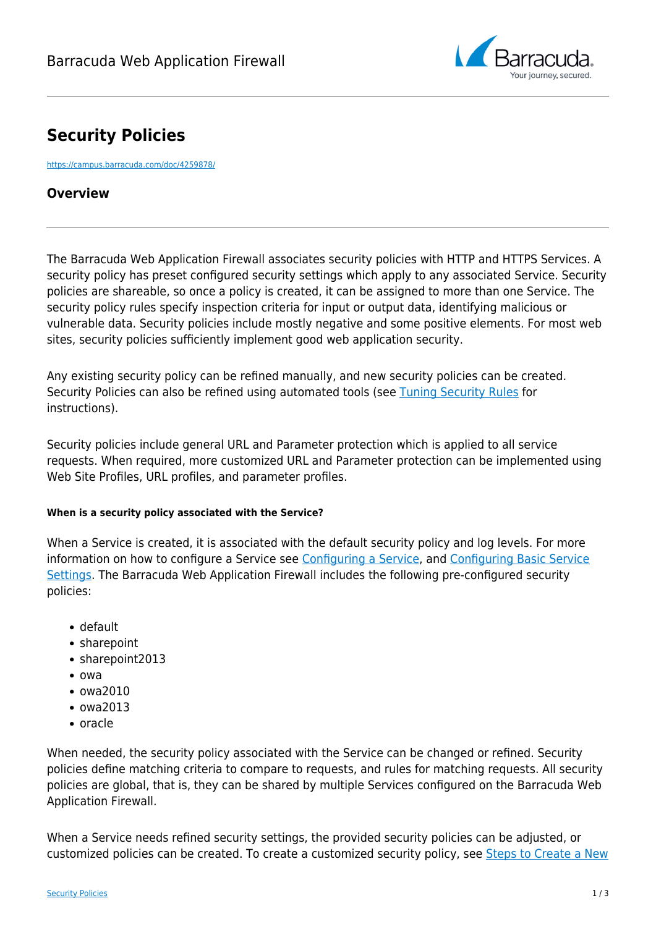

# **Security Policies**

<https://campus.barracuda.com/doc/4259878/>

### **Overview**

The Barracuda Web Application Firewall associates security policies with HTTP and HTTPS Services. A security policy has preset configured security settings which apply to any associated Service. Security policies are shareable, so once a policy is created, it can be assigned to more than one Service. The security policy rules specify inspection criteria for input or output data, identifying malicious or vulnerable data. Security policies include mostly negative and some positive elements. For most web sites, security policies sufficiently implement good web application security.

Any existing security policy can be refined manually, and new security policies can be created. Security Policies can also be refined using automated tools (see [Tuning Security Rules](http://campus.barracuda.com/doc/4259902/) for instructions).

Security policies include general URL and Parameter protection which is applied to all service requests. When required, more customized URL and Parameter protection can be implemented using Web Site Profiles, URL profiles, and parameter profiles.

#### **When is a security policy associated with the Service?**

When a Service is created, it is associated with the default security policy and log levels. For more information on how to configure a Service see [Configuring a Service,](http://campus.barracuda.com/doc/4259899/) and [Configuring Basic Service](http://campus.barracuda.com/doc/4259891/) [Settings](http://campus.barracuda.com/doc/4259891/). The Barracuda Web Application Firewall includes the following pre-configured security policies:

- default
- sharepoint
- sharepoint2013
- $\bullet$  owa
- owa2010
- $\bullet$  Qwa2013
- oracle

When needed, the security policy associated with the Service can be changed or refined. Security policies define matching criteria to compare to requests, and rules for matching requests. All security policies are global, that is, they can be shared by multiple Services configured on the Barracuda Web Application Firewall.

When a Service needs refined security settings, the provided security policies can be adjusted, or customized policies can be created. To create a customized security policy, see [Steps to Create a New](#page--1-0)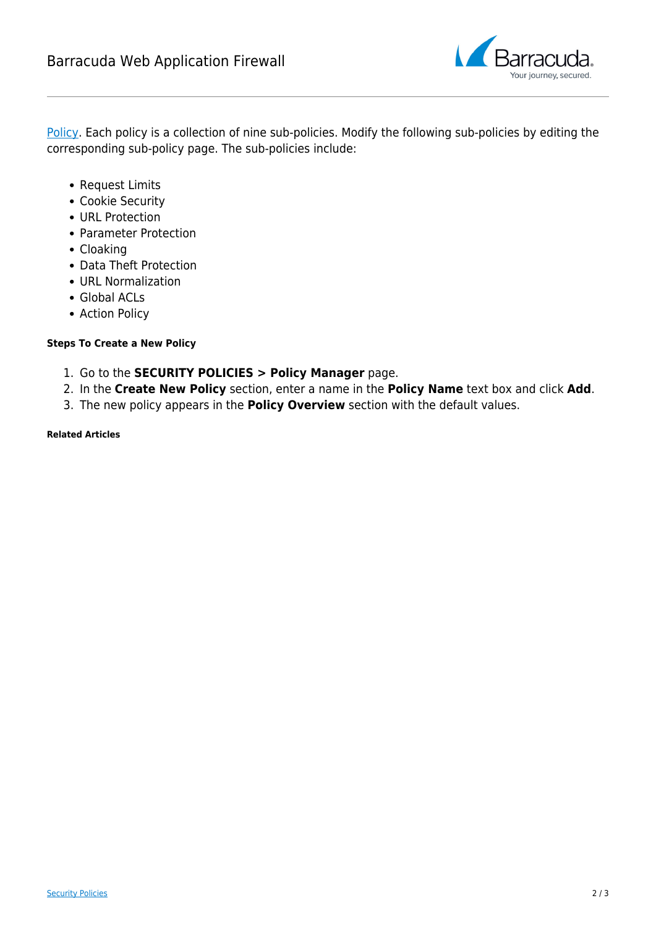

[Policy](#page--1-0). Each policy is a collection of nine sub-policies. Modify the following sub-policies by editing the corresponding sub-policy page. The sub-policies include:

- Request Limits
- Cookie Security
- URL Protection
- Parameter Protection
- Cloaking
- Data Theft Protection
- URL Normalization
- Global ACLs
- Action Policy

#### **Steps To Create a New Policy**

- 1. Go to the **SECURITY POLICIES > Policy Manager** page.
- 2. In the **Create New Policy** section, enter a name in the **Policy Name** text box and click **Add**.
- 3. The new policy appears in the **Policy Overview** section with the default values.

#### **Related Articles**